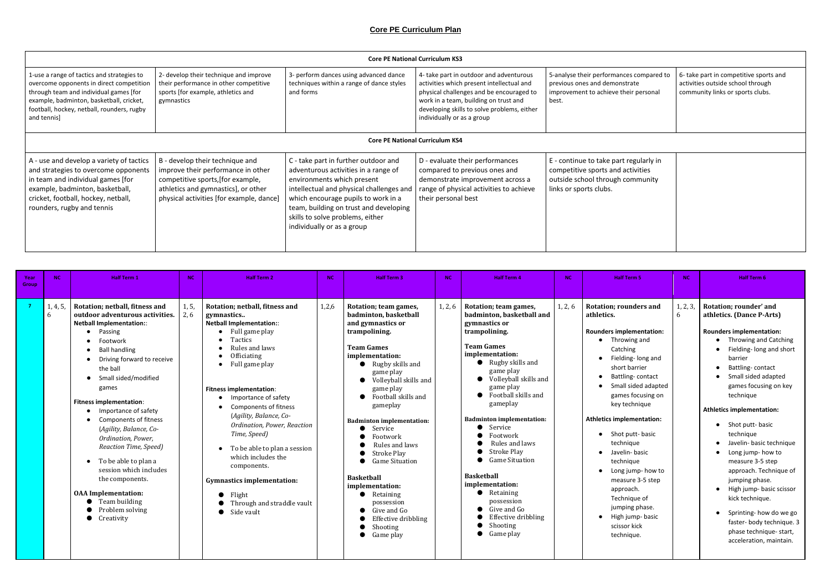## **Core PE Curriculum Plan**

| es compared to<br>rate<br>eir personal | 6- take part in competitive sports and<br>activities outside school through<br>community links or sports clubs. |
|----------------------------------------|-----------------------------------------------------------------------------------------------------------------|
|                                        |                                                                                                                 |

| regularly in<br>ctivities<br>ommunity |  |  |
|---------------------------------------|--|--|
|                                       |  |  |
|                                       |  |  |

|                                                                                                                                                                                                                                           | <b>Core PE National Curriculum KS3</b>                                                                                                                                                        |                                                                                                                                                                                                                                                                                                           |                                                                                                                                                                                                                                                        |                                                                                                                                           |  |  |  |  |  |
|-------------------------------------------------------------------------------------------------------------------------------------------------------------------------------------------------------------------------------------------|-----------------------------------------------------------------------------------------------------------------------------------------------------------------------------------------------|-----------------------------------------------------------------------------------------------------------------------------------------------------------------------------------------------------------------------------------------------------------------------------------------------------------|--------------------------------------------------------------------------------------------------------------------------------------------------------------------------------------------------------------------------------------------------------|-------------------------------------------------------------------------------------------------------------------------------------------|--|--|--|--|--|
| 1-use a range of tactics and strategies to<br>overcome opponents in direct competition<br>through team and individual games [for<br>example, badminton, basketball, cricket,<br>football, hockey, netball, rounders, rugby<br>and tennis] | 2- develop their technique and improve<br>their performance in other competitive<br>sports [for example, athletics and<br>gymnastics                                                          | 3- perform dances using advanced dance<br>techniques within a range of dance styles<br>and forms                                                                                                                                                                                                          | 4- take part in outdoor and adventurous<br>activities which present intellectual and<br>physical challenges and be encouraged to<br>work in a team, building on trust and<br>developing skills to solve problems, either<br>individually or as a group | 5-analyse their performances compared to<br>previous ones and demonstrate<br>improvement to achieve their personal<br>best.               |  |  |  |  |  |
|                                                                                                                                                                                                                                           |                                                                                                                                                                                               |                                                                                                                                                                                                                                                                                                           | <b>Core PE National Curriculum KS4</b>                                                                                                                                                                                                                 |                                                                                                                                           |  |  |  |  |  |
| A - use and develop a variety of tactics<br>and strategies to overcome opponents<br>in team and individual games [for<br>example, badminton, basketball,<br>cricket, football, hockey, netball,<br>rounders, rugby and tennis             | B - develop their technique and<br>improve their performance in other<br>competitive sports, [for example,<br>athletics and gymnastics], or other<br>physical activities [for example, dance] | C - take part in further outdoor and<br>adventurous activities in a range of<br>environments which present<br>intellectual and physical challenges and<br>which encourage pupils to work in a<br>team, building on trust and developing<br>skills to solve problems, either<br>individually or as a group | D - evaluate their performances<br>compared to previous ones and<br>demonstrate improvement across a<br>range of physical activities to achieve<br>their personal best                                                                                 | E - continue to take part regularly in<br>competitive sports and activities<br>outside school through community<br>links or sports clubs. |  |  |  |  |  |

| Year<br>Group | <b>NC</b> | <b>Half Term 1</b>                                                                                                                                                                                                                                                                                                                                                                                                                                                                                                                                                       | <b>NC</b>    | Half Term 2                                                                                                                                                                                                                                                                                                                                                                                                                                                                                        | NC.   | <b>Half Term 3</b>                                                                                                                                                                                                                                                                                                                                                                                                                                                                                                                      | <b>NC</b> | <b>Half Term 4</b>                                                                                                                                                                                                                                                                                                                                                                                                                                                                                                           | <b>NC</b> | <b>Half Term 5</b>                                                                                                                                                                                                                                                                                                                                                                                                                                                              | <b>NC</b>     | Half Term 6                                                                                                                                                                                                                                                                                                                                                                                                                                                                                                                                                                                                                                     |
|---------------|-----------|--------------------------------------------------------------------------------------------------------------------------------------------------------------------------------------------------------------------------------------------------------------------------------------------------------------------------------------------------------------------------------------------------------------------------------------------------------------------------------------------------------------------------------------------------------------------------|--------------|----------------------------------------------------------------------------------------------------------------------------------------------------------------------------------------------------------------------------------------------------------------------------------------------------------------------------------------------------------------------------------------------------------------------------------------------------------------------------------------------------|-------|-----------------------------------------------------------------------------------------------------------------------------------------------------------------------------------------------------------------------------------------------------------------------------------------------------------------------------------------------------------------------------------------------------------------------------------------------------------------------------------------------------------------------------------------|-----------|------------------------------------------------------------------------------------------------------------------------------------------------------------------------------------------------------------------------------------------------------------------------------------------------------------------------------------------------------------------------------------------------------------------------------------------------------------------------------------------------------------------------------|-----------|---------------------------------------------------------------------------------------------------------------------------------------------------------------------------------------------------------------------------------------------------------------------------------------------------------------------------------------------------------------------------------------------------------------------------------------------------------------------------------|---------------|-------------------------------------------------------------------------------------------------------------------------------------------------------------------------------------------------------------------------------------------------------------------------------------------------------------------------------------------------------------------------------------------------------------------------------------------------------------------------------------------------------------------------------------------------------------------------------------------------------------------------------------------------|
|               | 6         | 1, 4, 5, Rotation; netball, fitness and<br>outdoor adventurous activities.<br><b>Netball Implementation::</b><br>• Passing<br>Footwork<br><b>Ball handling</b><br>Driving forward to receive<br>the ball<br>• Small sided/modified<br>games<br><b>Fitness implementation:</b><br>Importance of safety<br>Components of fitness<br>(Agility, Balance, Co-<br>Ordination, Power,<br>Reaction Time, Speed)<br>• To be able to plan a<br>session which includes<br>the components.<br><b>OAA</b> Implementation:<br>$\bullet$ Team building<br>Problem solving<br>Creativity | 1, 5,<br>2.6 | Rotation; netball, fitness and<br>gymnastics<br><b>Netball Implementation::</b><br>Full game play<br>Tactics<br>Rules and laws<br>Officiating<br>Full game play<br><b>Fitness implementation:</b><br>Importance of safety<br><b>Components of fitness</b><br>(Agility, Balance, Co-<br>Ordination, Power, Reaction<br>Time, Speed)<br>To be able to plan a session<br>which includes the<br>components.<br><b>Gymnastics implementation:</b><br>Flight<br>Through and straddle vault<br>Side vault | 1,2,6 | Rotation; team games,<br>badminton, basketball<br>and gymnastics or<br>trampolining.<br><b>Team Games</b><br>implementation:<br>$\bullet$ Rugby skills and<br>game play<br>• Volleyball skills and<br>game play<br>Football skills and<br>gameplay<br><b>Badminton implementation:</b><br>$\bullet$ Service<br>Footwork<br>Rules and laws<br><b>Stroke Play</b><br>Game Situation<br><b>Baskethall</b><br>implementation:<br>$\bullet$ Retaining<br>possession<br>Give and Go<br>Effective dribbling<br>Shooting<br>$\bullet$ Game play | 1, 2, 6   | Rotation; team games,<br>badminton, basketball and<br>gymnastics or<br>trampolining.<br><b>Team Games</b><br>implementation:<br>$\bullet$ Rugby skills and<br>game play<br>• Volleyball skills and<br>game play<br>• Football skills and<br>gameplay<br><b>Badminton implementation:</b><br>Service<br>Footwork<br>Rules and laws<br><b>Stroke Play</b><br><b>Game Situation</b><br><b>Basketball</b><br>implementation:<br>$\bullet$ Retaining<br>possession<br>Give and Go<br>Effective dribbling<br>Shooting<br>Game play | 1, 2, 6   | <b>Rotation; rounders and</b><br>athletics.<br><b>Rounders implementation:</b><br>Throwing and<br>Catching<br>Fielding- long and<br>short barrier<br>Battling-contact<br>Small sided adapted<br>games focusing on<br>key technique<br><b>Athletics implementation:</b><br>Shot putt- basic<br>technique<br>Javelin- basic<br>technique<br>Long jump- how to<br>measure 3-5 step<br>approach.<br>Technique of<br>jumping phase.<br>High jump-basic<br>scissor kick<br>technique. | 1, 2, 3,<br>6 | Rotation; rounder' and<br>athletics. (Dance P-Arts)<br><b>Rounders implementation:</b><br>Throwing and Catching<br>Fielding- long and short<br>barrier<br>Battling-contact<br>$\bullet$<br>Small sided adapted<br>games focusing on key<br>technique<br><b>Athletics implementation:</b><br>• Shot putt-basic<br>technique<br>Javelin- basic technique<br>Long jump- how to<br>$\bullet$<br>measure 3-5 step<br>approach. Technique of<br>jumping phase.<br>High jump- basic scissor<br>$\bullet$<br>kick technique.<br>Sprinting- how do we go<br>$\bullet$<br>faster- body technique. 3<br>phase technique- start,<br>acceleration, maintain. |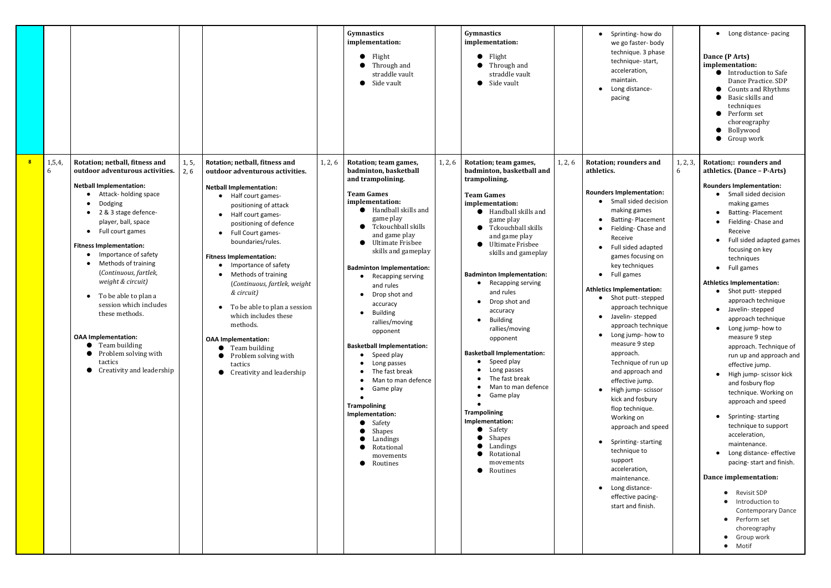|   |               |                                                                                                                                                                                                                                                                                                                                                                                                                                                                                                                                                                                                            |               |                                                                                                                                                                                                                                                                                                                                                                                                                                                                                                                                                              |         | Gymnastics<br>implementation:<br>Flight<br>Through and<br>straddle vault<br>Side vault                                                                                                                                                                                                                                                                                                                                                                                                                                                                                                                                                   |         | Gymnastics<br>implementation:<br>Flight<br>Through and<br>straddle vault<br>Side vault<br>●                                                                                                                                                                                                                                                                                                                                                                                                                                                                                                                                                                                                                |         | Sprinting-how do<br>$\bullet$<br>we go faster-body<br>technique. 3 phase<br>technique-start,<br>acceleration,<br>maintain.<br>Long distance-<br>pacing                                                                                                                                                                                                                                                                                                                                                                                                                                                                                                                                                                                                                                                                            |
|---|---------------|------------------------------------------------------------------------------------------------------------------------------------------------------------------------------------------------------------------------------------------------------------------------------------------------------------------------------------------------------------------------------------------------------------------------------------------------------------------------------------------------------------------------------------------------------------------------------------------------------------|---------------|--------------------------------------------------------------------------------------------------------------------------------------------------------------------------------------------------------------------------------------------------------------------------------------------------------------------------------------------------------------------------------------------------------------------------------------------------------------------------------------------------------------------------------------------------------------|---------|------------------------------------------------------------------------------------------------------------------------------------------------------------------------------------------------------------------------------------------------------------------------------------------------------------------------------------------------------------------------------------------------------------------------------------------------------------------------------------------------------------------------------------------------------------------------------------------------------------------------------------------|---------|------------------------------------------------------------------------------------------------------------------------------------------------------------------------------------------------------------------------------------------------------------------------------------------------------------------------------------------------------------------------------------------------------------------------------------------------------------------------------------------------------------------------------------------------------------------------------------------------------------------------------------------------------------------------------------------------------------|---------|-----------------------------------------------------------------------------------------------------------------------------------------------------------------------------------------------------------------------------------------------------------------------------------------------------------------------------------------------------------------------------------------------------------------------------------------------------------------------------------------------------------------------------------------------------------------------------------------------------------------------------------------------------------------------------------------------------------------------------------------------------------------------------------------------------------------------------------|
| 8 | 1, 5, 4,<br>6 | Rotation; netball, fitness and<br>outdoor adventurous activities.<br><b>Netball Implementation:</b><br>Attack- holding space<br>$\bullet$<br>Dodging<br>2 & 3 stage defence-<br>player, ball, space<br>Full court games<br>$\bullet$<br><b>Fitness Implementation:</b><br>Importance of safety<br>Methods of training<br>$\bullet$<br>(Continuous, fartlek,<br>weight & circuit)<br>To be able to plan a<br>$\bullet$<br>session which includes<br>these methods.<br><b>OAA Implementation:</b><br>Team building<br>$\bullet$<br>Problem solving with<br>tactics<br>Creativity and leadership<br>$\bullet$ | 1, 5,<br>2, 6 | Rotation; netball, fitness and<br>outdoor adventurous activities.<br><b>Netball Implementation:</b><br>Half court games-<br>positioning of attack<br>Half court games-<br>positioning of defence<br>Full Court games-<br>boundaries/rules.<br><b>Fitness Implementation:</b><br>Importance of safety<br>Methods of training<br>(Continuous, fartlek, weight<br>& circuit)<br>To be able to plan a session<br>which includes these<br>methods.<br><b>OAA</b> Implementation:<br>Team building<br>Problem solving with<br>tactics<br>Creativity and leadership | 1, 2, 6 | Rotation; team games,<br>badminton, basketball<br>and trampolining.<br><b>Team Games</b><br>implementation:<br>● Handball skills and<br>game play<br>Tckouchball skills<br>and game play<br><b>Ultimate Frisbee</b><br>skills and gameplay<br><b>Badminton Implementation:</b><br>Recapping serving<br>and rules<br>Drop shot and<br>accuracy<br><b>Building</b><br>rallies/moving<br>opponent<br><b>Basketball Implementation:</b><br>• Speed play<br>Long passes<br>The fast break<br>Man to man defence<br>Game play<br><b>Trampolining</b><br>Implementation:<br>Safety<br>Shapes<br>Landings<br>Rotational<br>movements<br>Routines | 1, 2, 6 | Rotation; team games,<br>badminton, basketball and<br>trampolining.<br><b>Team Games</b><br>implementation:<br>Handball skills and<br>$\bullet$<br>game play<br>Tckouchball skills<br>$\bullet$<br>and game play<br><b>Ultimate Frisbee</b><br>$\bullet$<br>skills and gameplay<br><b>Badminton Implementation:</b><br>Recapping serving<br>and rules<br>Drop shot and<br>$\bullet$<br>accuracy<br><b>Building</b><br>rallies/moving<br>opponent<br><b>Basketball Implementation:</b><br>Speed play<br>$\bullet$<br>Long passes<br>The fast break<br>Man to man defence<br>Game play<br><b>Trampolining</b><br>Implementation:<br>Safety<br>Shapes<br>Landings<br>Rotational<br>movements<br>Routines<br>e | 1, 2, 6 | <b>Rotation; rounders and</b><br>athletics.<br><b>Rounders Implementation:</b><br>Small sided decisic<br>making games<br><b>Batting-Placemen</b><br>Fielding- Chase and<br>Receive<br>Full sided adapted<br>games focusing on<br>key techniques<br>Full games<br>$\bullet$<br><b>Athletics Implementation:</b><br>Shot putt-stepped<br>$\bullet$<br>approach techniqu<br>Javelin- stepped<br>$\bullet$<br>approach techniqu<br>Long jump- how to<br>$\bullet$<br>measure 9 step<br>approach.<br>Technique of run u<br>and approach and<br>effective jump.<br>High jump- scissor<br>kick and fosbury<br>flop technique.<br>Working on<br>approach and spee<br>Sprinting-starting<br>$\bullet$<br>technique to<br>support<br>acceleration,<br>maintenance.<br>Long distance-<br>$\bullet$<br>effective pacing-<br>start and finish. |

| Sprinting-how do<br>$\bullet$<br>we go faster-body<br>technique. 3 phase<br>technique-start,<br>acceleration,<br>maintain.<br>Long distance-<br>pacing                                                                                                                                                                                                                                                                                                                                                                                                                                                                                                                                                              |               | Long distance-pacing<br>Dance (P Arts)<br>implementation:<br><b>Introduction to Safe</b><br>Dance Practice. SDP<br>Counts and Rhythms<br>Basic skills and<br>techniques<br>Perform set<br>choreography<br>Bollywood<br>Group work                                                                                                                                                                                                                                                                                                                                                                                                                                                                                     |
|---------------------------------------------------------------------------------------------------------------------------------------------------------------------------------------------------------------------------------------------------------------------------------------------------------------------------------------------------------------------------------------------------------------------------------------------------------------------------------------------------------------------------------------------------------------------------------------------------------------------------------------------------------------------------------------------------------------------|---------------|-----------------------------------------------------------------------------------------------------------------------------------------------------------------------------------------------------------------------------------------------------------------------------------------------------------------------------------------------------------------------------------------------------------------------------------------------------------------------------------------------------------------------------------------------------------------------------------------------------------------------------------------------------------------------------------------------------------------------|
| ation; rounders and<br>etics.                                                                                                                                                                                                                                                                                                                                                                                                                                                                                                                                                                                                                                                                                       | 1, 2, 3,<br>6 | Rotation;: rounders and<br>athletics. (Dance - P-Arts)                                                                                                                                                                                                                                                                                                                                                                                                                                                                                                                                                                                                                                                                |
| nders Implementation:<br>Small sided decision<br>$\bullet$<br>making games<br><b>Batting-Placement</b><br>$\bullet$<br>Fielding- Chase and<br>$\bullet$<br>Receive<br>Full sided adapted<br>$\bullet$<br>games focusing on<br>key techniques<br>Full games<br>$\bullet$<br>etics Implementation:<br>Shot putt-stepped<br>$\bullet$<br>approach technique<br>Javelin-stepped<br>$\bullet$<br>approach technique<br>Long jump- how to<br>measure 9 step<br>approach.<br>Technique of run up<br>and approach and<br>effective jump.<br>High jump- scissor<br>kick and fosbury<br>flop technique.<br>Working on<br>approach and speed<br>Sprinting-starting<br>technique to<br>support<br>acceleration,<br>maintenance. |               | <b>Rounders Implementation:</b><br>Small sided decision<br>making games<br><b>Batting-Placement</b><br>Fielding- Chase and<br>Receive<br>Full sided adapted games<br>focusing on key<br>techniques<br>Full games<br><b>Athletics Implementation:</b><br>Shot putt-stepped<br>approach technique<br>Javelin-stepped<br>approach technique<br>Long jump- how to<br>measure 9 step<br>approach. Technique of<br>run up and approach and<br>effective jump.<br>High jump- scissor kick<br>and fosbury flop<br>technique. Working on<br>approach and speed<br>Sprinting-starting<br>technique to support<br>acceleration,<br>maintenance.<br>Long distance- effective<br>pacing-start and finish.<br>Dance implementation: |
| Long distance-<br>effective pacing-<br>start and finish.                                                                                                                                                                                                                                                                                                                                                                                                                                                                                                                                                                                                                                                            |               | <b>Revisit SDP</b><br>Introduction to<br><b>Contemporary Dance</b><br>Perform set<br>choreography<br>Group work<br>Motif                                                                                                                                                                                                                                                                                                                                                                                                                                                                                                                                                                                              |